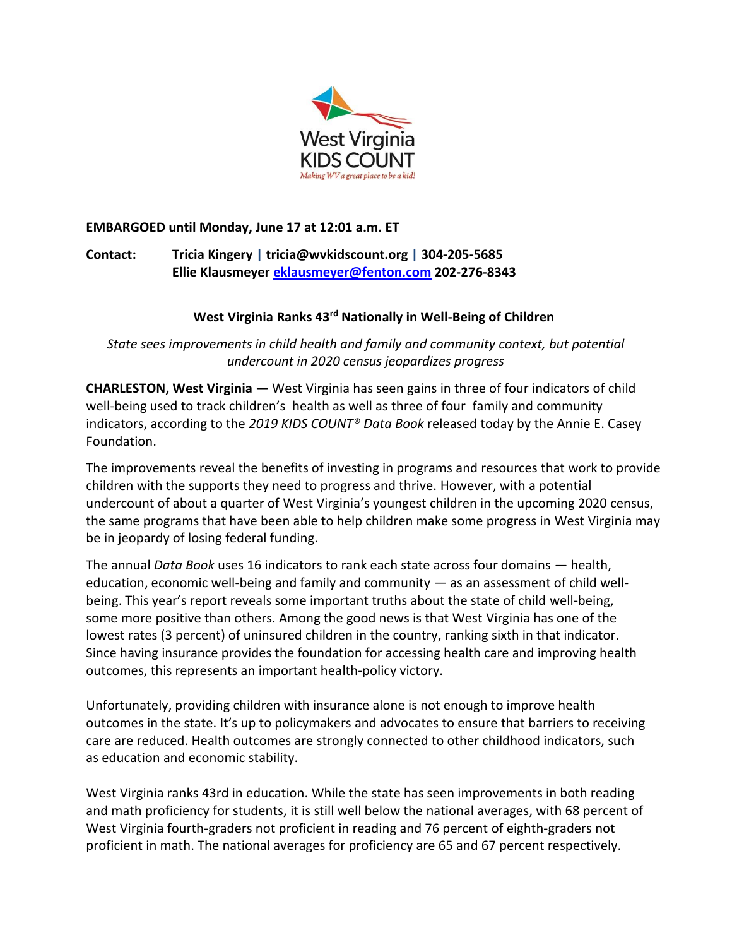

# **EMBARGOED until Monday, June 17 at 12:01 a.m. ET**

**Contact: Tricia Kingery | tricia@wvkidscount.org | 304-205-5685 Ellie Klausmeyer [eklausmeyer@fenton.com](mailto:eklausmeyer@fenton.com) 202-276-8343**

# West Virginia Ranks 43<sup>rd</sup> Nationally in Well-Being of Children

*State sees improvements in child health and family and community context, but potential undercount in 2020 census jeopardizes progress* 

**CHARLESTON, West Virginia** — West Virginia has seen gains in three of four indicators of child well-being used to track children's health as well as three of four family and community indicators, according to the *2019 KIDS COUNT® Data Book* released today by the Annie E. Casey Foundation.

The improvements reveal the benefits of investing in programs and resources that work to provide children with the supports they need to progress and thrive. However, with a potential undercount of about a quarter of West Virginia's youngest children in the upcoming 2020 census, the same programs that have been able to help children make some progress in West Virginia may be in jeopardy of losing federal funding.

The annual *Data Book* uses 16 indicators to rank each state across four domains — health, education, economic well-being and family and community — as an assessment of child wellbeing. This year's report reveals some important truths about the state of child well-being, some more positive than others. Among the good news is that West Virginia has one of the lowest rates (3 percent) of uninsured children in the country, ranking sixth in that indicator. Since having insurance provides the foundation for accessing health care and improving health outcomes, this represents an important health-policy victory.

Unfortunately, providing children with insurance alone is not enough to improve health outcomes in the state. It's up to policymakers and advocates to ensure that barriers to receiving care are reduced. Health outcomes are strongly connected to other childhood indicators, such as education and economic stability.

West Virginia ranks 43rd in education. While the state has seen improvements in both reading and math proficiency for students, it is still well below the national averages, with 68 percent of West Virginia fourth-graders not proficient in reading and 76 percent of eighth-graders not proficient in math. The national averages for proficiency are 65 and 67 percent respectively.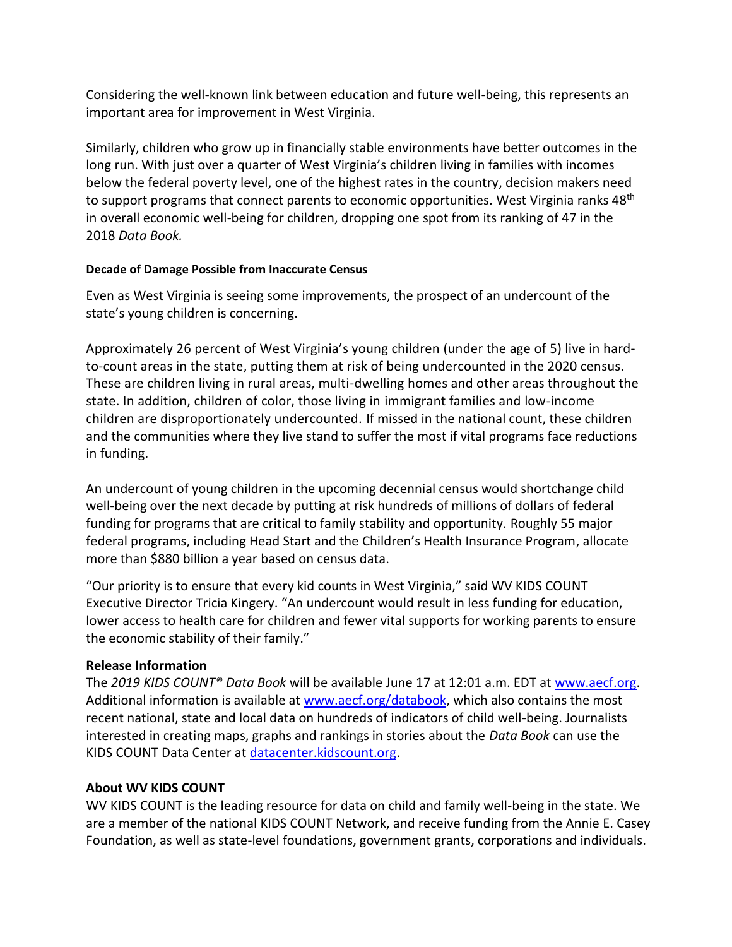Considering the well-known link between education and future well-being, this represents an important area for improvement in West Virginia.

Similarly, children who grow up in financially stable environments have better outcomes in the long run. With just over a quarter of West Virginia's children living in families with incomes below the federal poverty level, one of the highest rates in the country, decision makers need to support programs that connect parents to economic opportunities. West Virginia ranks 48<sup>th</sup> in overall economic well-being for children, dropping one spot from its ranking of 47 in the 2018 *Data Book.* 

#### **Decade of Damage Possible from Inaccurate Census**

Even as West Virginia is seeing some improvements, the prospect of an undercount of the state's young children is concerning.

Approximately 26 percent of West Virginia's young children (under the age of 5) live in hardto-count areas in the state, putting them at risk of being undercounted in the 2020 census. These are children living in rural areas, multi-dwelling homes and other areas throughout the state. In addition, children of color, those living in immigrant families and low-income children are disproportionately undercounted. If missed in the national count, these children and the communities where they live stand to suffer the most if vital programs face reductions in funding.

An undercount of young children in the upcoming decennial census would shortchange child well-being over the next decade by putting at risk hundreds of millions of dollars of federal funding for programs that are critical to family stability and opportunity. Roughly 55 major federal programs, including Head Start and the Children's Health Insurance Program, allocate more than \$880 billion a year based on census data.

"Our priority is to ensure that every kid counts in West Virginia," said WV KIDS COUNT Executive Director Tricia Kingery. "An undercount would result in less funding for education, lower access to health care for children and fewer vital supports for working parents to ensure the economic stability of their family."

## **Release Information**

The *2019 KIDS COUNT® Data Book* will be available June 17 at 12:01 a.m. EDT at [www.aecf.org.](http://www.aecf.org/) Additional information is available at [www.aecf.org/databook,](file:///C:/Users/bboughamer/AppData/Local/Microsoft/Windows/INetCache/Content.Outlook/U9MF7906/www.aecf.org/databook) which also contains the most recent national, state and local data on hundreds of indicators of child well-being. Journalists interested in creating maps, graphs and rankings in stories about the *Data Book* can use the KIDS COUNT Data Center at [datacenter.kidscount.org.](http://datacenter.kidscount.org/)

#### **About WV KIDS COUNT**

WV KIDS COUNT is the leading resource for data on child and family well-being in the state. We are a member of the national KIDS COUNT Network, and receive funding from the Annie E. Casey Foundation, as well as state-level foundations, government grants, corporations and individuals.